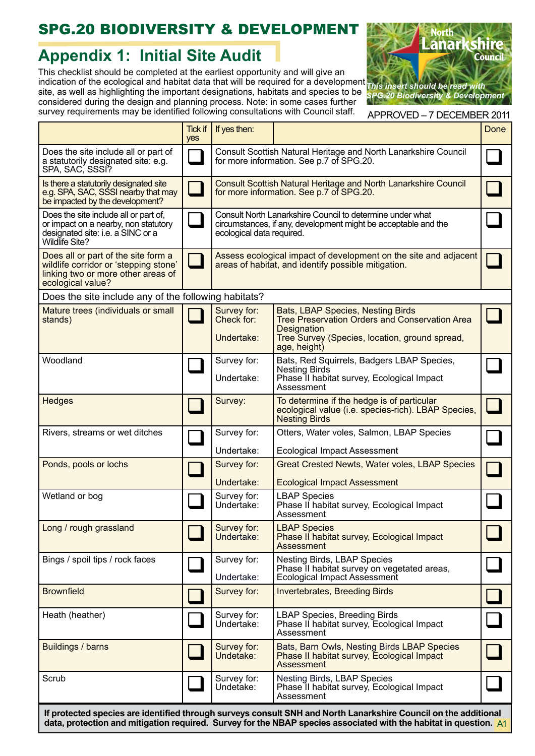## SPG.20 BIODIVERSITY & DEVELOPMENT

## **Appendix 1: Initial Site Audit**

This checklist should be completed at the earliest opportunity and will give an indication of the ecological and habitat data that will be required for a development site, as well as highlighting the important designations, habitats and species to be considered during the design and planning process. Note: in some cases further survey requirements may be identified following consultations with Council staff.



APPROVED – 7 DECEMBER 2011

|                                                                                                                                         | <b>Tick if</b><br>yes | If yes then:                                                                                                                                             |                                                                                                                                                                                           | Done |
|-----------------------------------------------------------------------------------------------------------------------------------------|-----------------------|----------------------------------------------------------------------------------------------------------------------------------------------------------|-------------------------------------------------------------------------------------------------------------------------------------------------------------------------------------------|------|
| Does the site include all or part of<br>a statutorily designated site: e.g.<br>SPA, SAC, SSSI?                                          |                       | Consult Scottish Natural Heritage and North Lanarkshire Council<br>for more information. See p.7 of SPG.20.                                              |                                                                                                                                                                                           |      |
| Is there a statutorily designated site<br>e.g. SPA, SAC, SSSI nearby that may<br>be impacted by the development?                        |                       | <b>Consult Scottish Natural Heritage and North Lanarkshire Council</b><br>for more information. See p.7 of SPG.20.                                       |                                                                                                                                                                                           |      |
| Does the site include all or part of,<br>or impact on a nearby, non statutory<br>designated site: i.e. a SINC or a<br>Wildlife Site?    |                       | Consult North Lanarkshire Council to determine under what<br>circumstances, if any, development might be acceptable and the<br>ecological data required. |                                                                                                                                                                                           |      |
| Does all or part of the site form a<br>wildlife corridor or 'stepping stone'<br>linking two or more other areas of<br>ecological value? |                       | Assess ecological impact of development on the site and adjacent<br>areas of habitat, and identify possible mitigation.                                  |                                                                                                                                                                                           |      |
| Does the site include any of the following habitats?                                                                                    |                       |                                                                                                                                                          |                                                                                                                                                                                           |      |
| Mature trees (individuals or small<br>stands)                                                                                           |                       | Survey for:<br>Check for:<br>Undertake:                                                                                                                  | <b>Bats, LBAP Species, Nesting Birds</b><br><b>Tree Preservation Orders and Conservation Area</b><br><b>Designation</b><br>Tree Survey (Species, location, ground spread,<br>age, height) |      |
| Woodland                                                                                                                                |                       | Survey for:<br>Undertake:                                                                                                                                | Bats, Red Squirrels, Badgers LBAP Species,<br><b>Nesting Birds</b><br>Phase II habitat survey, Ecological Impact<br>Assessment                                                            |      |
| Hedges                                                                                                                                  |                       | Survey:                                                                                                                                                  | To determine if the hedge is of particular<br>ecological value (i.e. species-rich). LBAP Species,<br><b>Nesting Birds</b>                                                                 |      |
| Rivers, streams or wet ditches                                                                                                          |                       | Survey for:                                                                                                                                              | Otters, Water voles, Salmon, LBAP Species                                                                                                                                                 |      |
|                                                                                                                                         |                       | Undertake:                                                                                                                                               | <b>Ecological Impact Assessment</b>                                                                                                                                                       |      |
| Ponds, pools or lochs                                                                                                                   |                       | Survey for:<br>Undertake:                                                                                                                                | <b>Great Crested Newts, Water voles, LBAP Species</b><br><b>Ecological Impact Assessment</b>                                                                                              |      |
| Wetland or bog                                                                                                                          |                       | Survey for:<br>Undertake:                                                                                                                                | <b>LBAP Species</b><br>Phase II habitat survey, Ecological Impact<br>Assessment                                                                                                           |      |
| Long / rough grassland                                                                                                                  |                       | Survey for:<br>Undertake:                                                                                                                                | <b>LBAP Species</b><br>Phase II habitat survey, Ecological Impact<br>Assessment                                                                                                           |      |
| Bings / spoil tips / rock faces                                                                                                         |                       | Survey for:<br>Undertake:                                                                                                                                | Nesting Birds, LBAP Species<br>Phase II habitat survey on vegetated areas,<br><b>Ecological Impact Assessment</b>                                                                         |      |
| <b>Brownfield</b>                                                                                                                       |                       | Survey for:                                                                                                                                              | <b>Invertebrates, Breeding Birds</b>                                                                                                                                                      |      |
| Heath (heather)                                                                                                                         |                       | Survey for:<br>Undertake:                                                                                                                                | <b>LBAP Species, Breeding Birds</b><br>Phase II habitat survey, Ecological Impact<br>Assessment                                                                                           |      |
| Buildings / barns                                                                                                                       |                       | Survey for:<br>Undetake:                                                                                                                                 | Bats, Barn Owls, Nesting Birds LBAP Species<br>Phase II habitat survey, Ecological Impact<br>Assessment                                                                                   |      |
| Scrub                                                                                                                                   |                       | Survey for:<br>Undetake:                                                                                                                                 | Nesting Birds, LBAP Species<br>Phase II habitat survey, Ecological Impact<br>Assessment                                                                                                   |      |
| If protected species are identified through surveys consult SNH and North Lanarkshire Council on the additional                         |                       |                                                                                                                                                          |                                                                                                                                                                                           |      |

**If protected species are identified through surveys consult SNH and North Lanarkshire Council on the additional data, protection and mitigation required. Survey for the NBAP species associated with the habitat in question.** A1